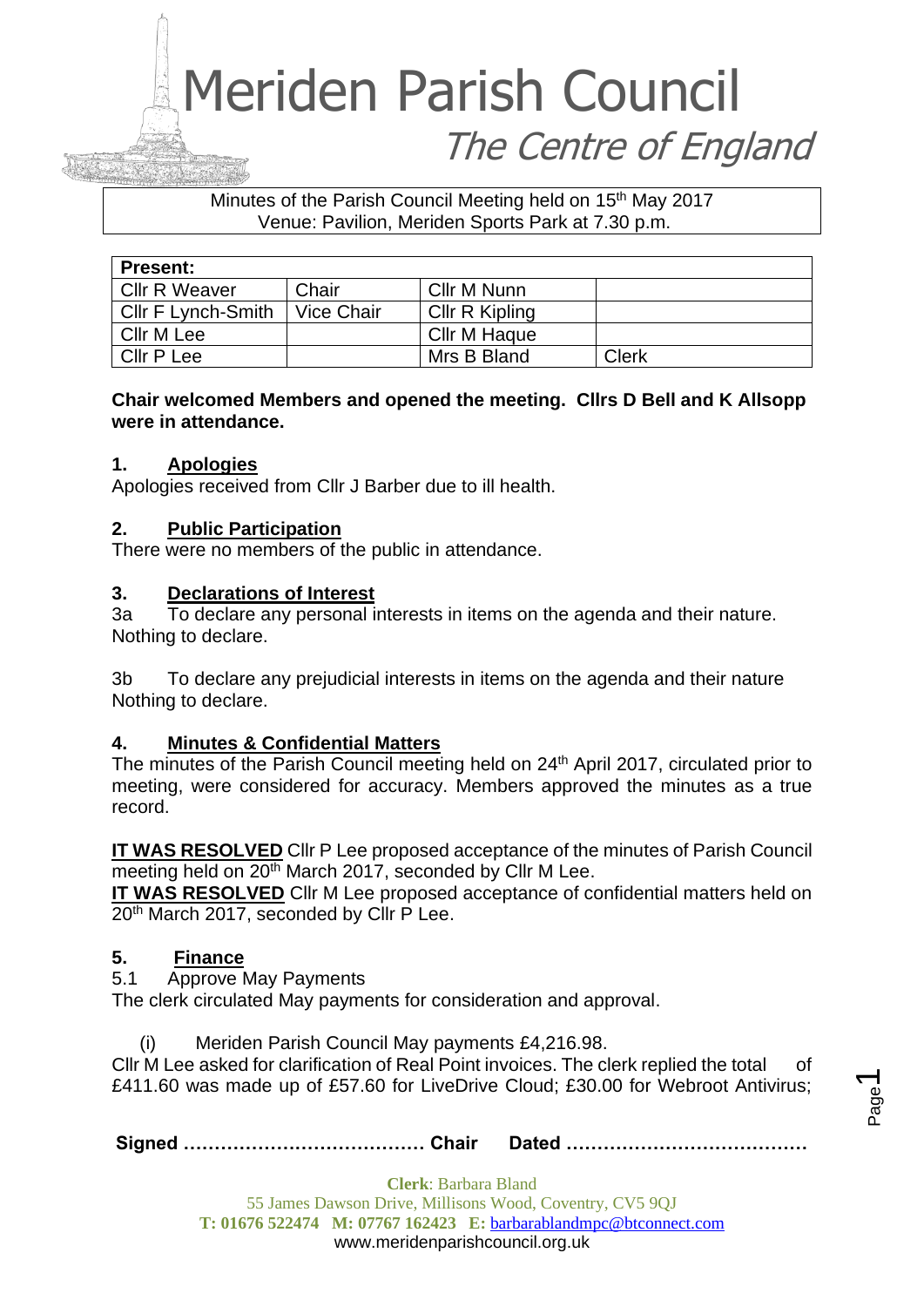### Minutes of the Parish Council Meeting held on 15<sup>th</sup> May 2017 Venue: Pavilion, Meriden Sports Park at 7.30 p.m.

| <b>Present:</b>           |            |                     |       |
|---------------------------|------------|---------------------|-------|
| <b>Cllr R Weaver</b>      | Chair      | Cllr M Nunn         |       |
| <b>CIIr F Lynch-Smith</b> | Vice Chair | Cllr R Kipling      |       |
| Cllr M Lee                |            | <b>Cllr M Haque</b> |       |
| Cllr P Lee                |            | Mrs B Bland         | Clerk |

## **Chair welcomed Members and opened the meeting. Cllrs D Bell and K Allsopp were in attendance.**

## **1. Apologies**

Apologies received from Cllr J Barber due to ill health.

## **2. Public Participation**

There were no members of the public in attendance.

### **3. Declarations of Interest**

3a To declare any personal interests in items on the agenda and their nature. Nothing to declare.

3b To declare any prejudicial interests in items on the agenda and their nature Nothing to declare.

## **4. Minutes & Confidential Matters**

The minutes of the Parish Council meeting held on 24<sup>th</sup> April 2017, circulated prior to meeting, were considered for accuracy. Members approved the minutes as a true record.

**IT WAS RESOLVED** Cllr P Lee proposed acceptance of the minutes of Parish Council meeting held on 20<sup>th</sup> March 2017, seconded by Cllr M Lee.

**IT WAS RESOLVED** Cllr M Lee proposed acceptance of confidential matters held on 20<sup>th</sup> March 2017, seconded by Cllr P Lee.

## **5. Finance**

5.1 Approve May Payments

The clerk circulated May payments for consideration and approval.

(i) Meriden Parish Council May payments £4,216.98.

Cllr M Lee asked for clarification of Real Point invoices. The clerk replied the total of £411.60 was made up of £57.60 for LiveDrive Cloud; £30.00 for Webroot Antivirus;

**Signed ………………………………… Chair Dated …………………………………**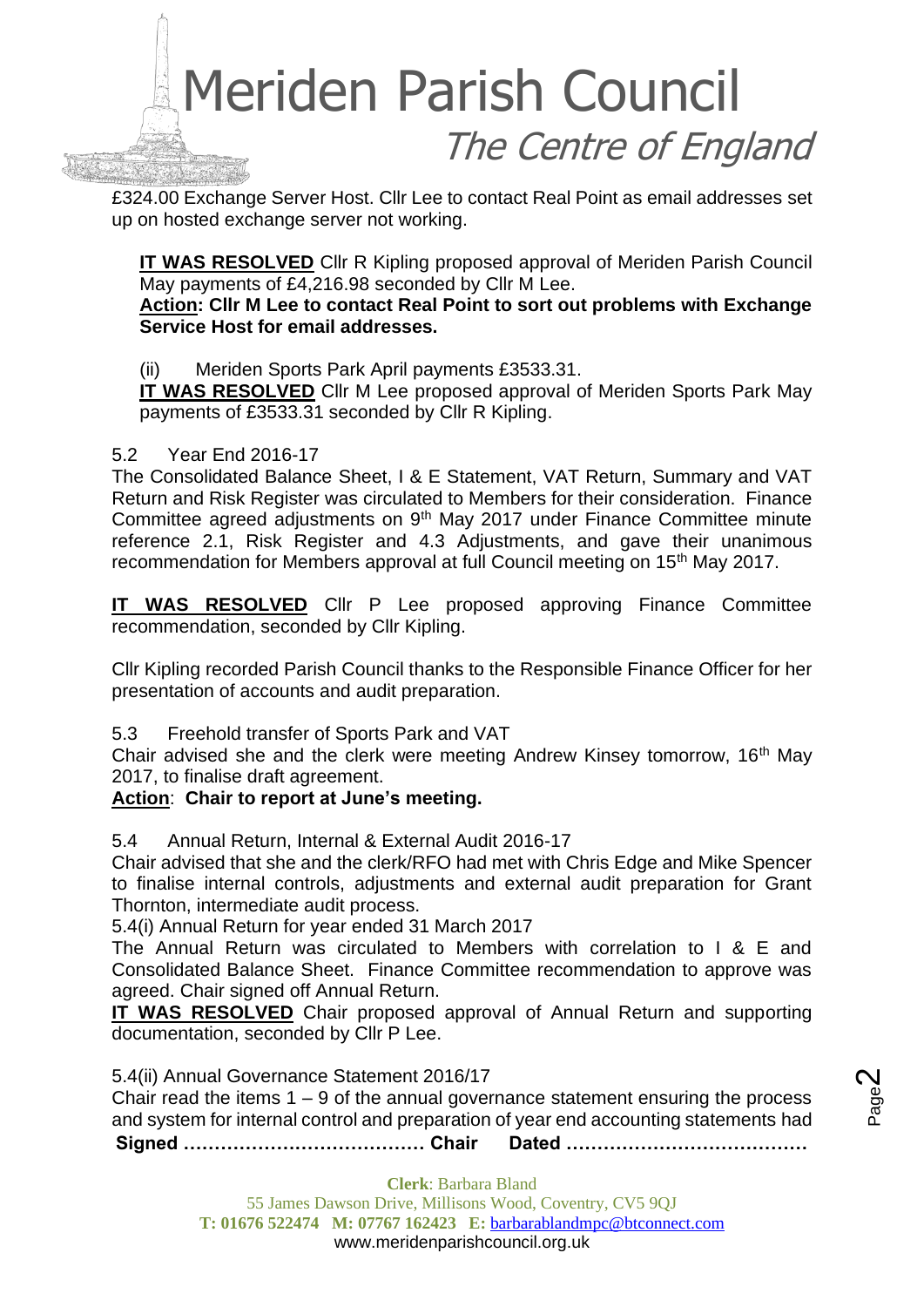

£324.00 Exchange Server Host. Cllr Lee to contact Real Point as email addresses set up on hosted exchange server not working.

**IT WAS RESOLVED** Cllr R Kipling proposed approval of Meriden Parish Council May payments of £4,216.98 seconded by Cllr M Lee.

### **Action: Cllr M Lee to contact Real Point to sort out problems with Exchange Service Host for email addresses.**

(ii) Meriden Sports Park April payments £3533.31.

**IT WAS RESOLVED** Cllr M Lee proposed approval of Meriden Sports Park May payments of £3533.31 seconded by Cllr R Kipling.

## 5.2 Year End 2016-17

The Consolidated Balance Sheet, I & E Statement, VAT Return, Summary and VAT Return and Risk Register was circulated to Members for their consideration. Finance Committee agreed adjustments on 9<sup>th</sup> May 2017 under Finance Committee minute reference 2.1, Risk Register and 4.3 Adjustments, and gave their unanimous recommendation for Members approval at full Council meeting on 15<sup>th</sup> May 2017.

**IT WAS RESOLVED** Cllr P Lee proposed approving Finance Committee recommendation, seconded by Cllr Kipling.

Cllr Kipling recorded Parish Council thanks to the Responsible Finance Officer for her presentation of accounts and audit preparation.

5.3 Freehold transfer of Sports Park and VAT

Chair advised she and the clerk were meeting Andrew Kinsey tomorrow, 16th May 2017, to finalise draft agreement.

## **Action**: **Chair to report at June's meeting.**

5.4 Annual Return, Internal & External Audit 2016-17

Chair advised that she and the clerk/RFO had met with Chris Edge and Mike Spencer to finalise internal controls, adjustments and external audit preparation for Grant Thornton, intermediate audit process.

5.4(i) Annual Return for year ended 31 March 2017

The Annual Return was circulated to Members with correlation to I & E and Consolidated Balance Sheet. Finance Committee recommendation to approve was agreed. Chair signed off Annual Return.

**IT WAS RESOLVED** Chair proposed approval of Annual Return and supporting documentation, seconded by Cllr P Lee.

5.4(ii) Annual Governance Statement 2016/17

Chair read the items  $1 - 9$  of the annual governance statement ensuring the process and system for internal control and preparation of year end accounting statements had

**Signed ………………………………… Chair Dated …………………………………**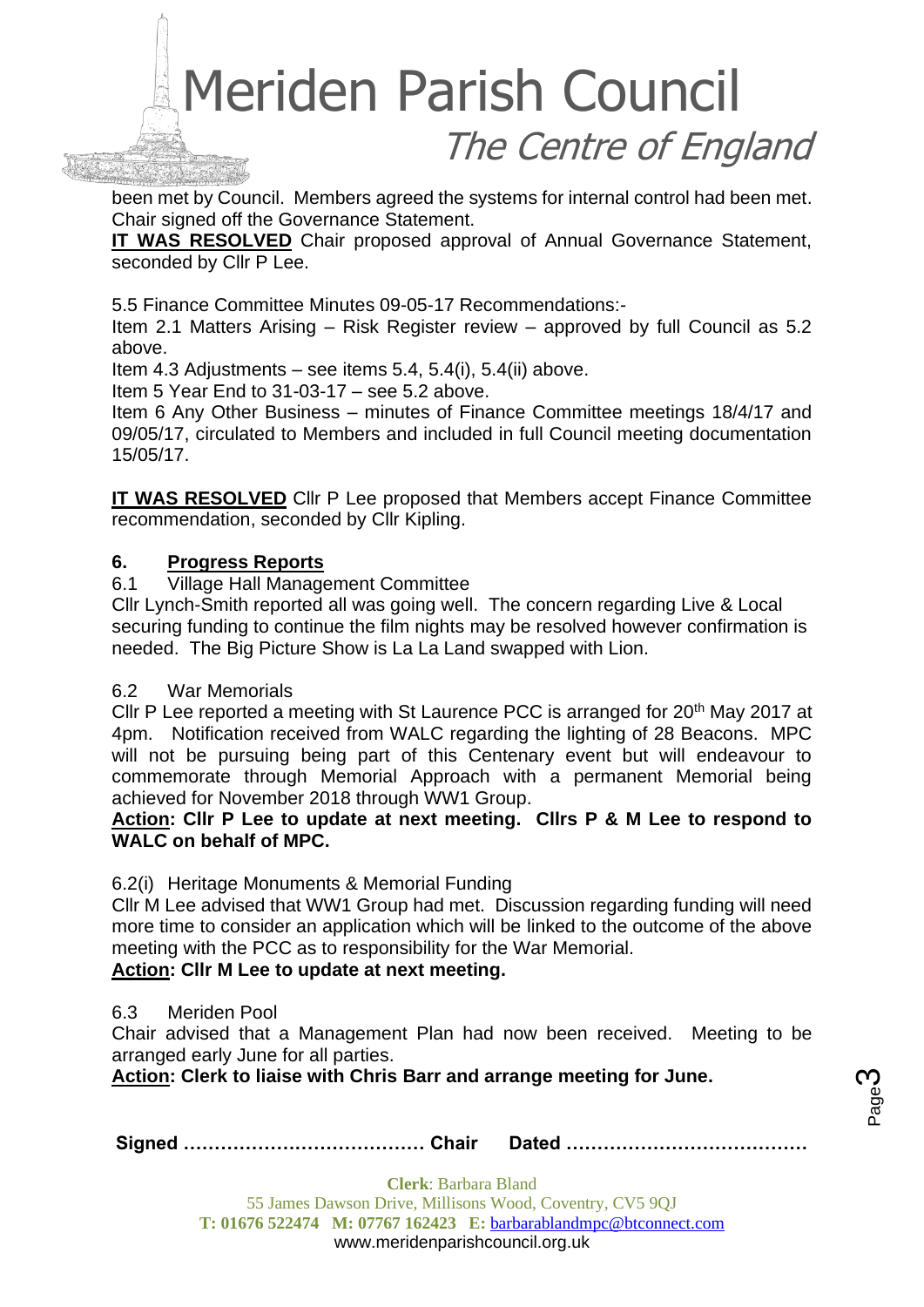been met by Council. Members agreed the systems for internal control had been met. Chair signed off the Governance Statement.

**IT WAS RESOLVED** Chair proposed approval of Annual Governance Statement, seconded by Cllr P Lee.

5.5 Finance Committee Minutes 09-05-17 Recommendations:-

Item 2.1 Matters Arising – Risk Register review – approved by full Council as 5.2 above.

Item 4.3 Adjustments – see items 5.4, 5.4(i), 5.4(ii) above.

Item 5 Year End to 31-03-17 – see 5.2 above.

Item 6 Any Other Business – minutes of Finance Committee meetings 18/4/17 and 09/05/17, circulated to Members and included in full Council meeting documentation 15/05/17.

**IT WAS RESOLVED** Cllr P Lee proposed that Members accept Finance Committee recommendation, seconded by Cllr Kipling.

## **6. Progress Reports**

6.1 Village Hall Management Committee

Cllr Lynch-Smith reported all was going well. The concern regarding Live & Local securing funding to continue the film nights may be resolved however confirmation is needed. The Big Picture Show is La La Land swapped with Lion.

### 6.2 War Memorials

Cllr P Lee reported a meeting with St Laurence PCC is arranged for 20<sup>th</sup> May 2017 at 4pm. Notification received from WALC regarding the lighting of 28 Beacons. MPC will not be pursuing being part of this Centenary event but will endeavour to commemorate through Memorial Approach with a permanent Memorial being achieved for November 2018 through WW1 Group.

**Action: Cllr P Lee to update at next meeting. Cllrs P & M Lee to respond to WALC on behalf of MPC.**

### 6.2(i) Heritage Monuments & Memorial Funding

Cllr M Lee advised that WW1 Group had met. Discussion regarding funding will need more time to consider an application which will be linked to the outcome of the above meeting with the PCC as to responsibility for the War Memorial.

### **Action: Cllr M Lee to update at next meeting.**

### 6.3 Meriden Pool

Chair advised that a Management Plan had now been received. Meeting to be arranged early June for all parties.

**Action: Clerk to liaise with Chris Barr and arrange meeting for June.**

|--|--|--|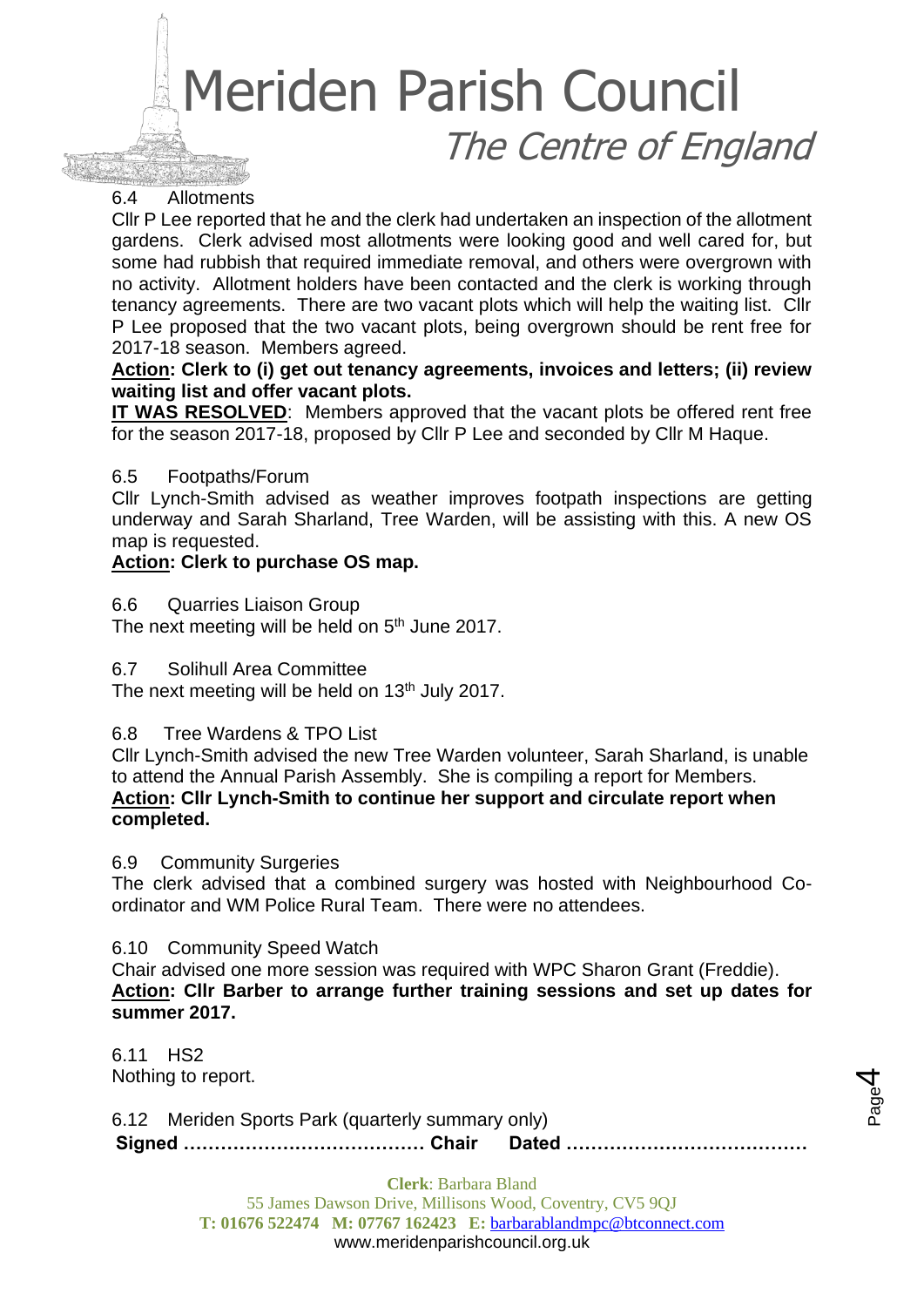## 6.4 Allotments

Cllr P Lee reported that he and the clerk had undertaken an inspection of the allotment gardens. Clerk advised most allotments were looking good and well cared for, but some had rubbish that required immediate removal, and others were overgrown with no activity. Allotment holders have been contacted and the clerk is working through tenancy agreements. There are two vacant plots which will help the waiting list. Cllr P Lee proposed that the two vacant plots, being overgrown should be rent free for 2017-18 season. Members agreed.

### **Action: Clerk to (i) get out tenancy agreements, invoices and letters; (ii) review waiting list and offer vacant plots.**

**IT WAS RESOLVED**: Members approved that the vacant plots be offered rent free for the season 2017-18, proposed by Cllr P Lee and seconded by Cllr M Haque.

### 6.5 Footpaths/Forum

Cllr Lynch-Smith advised as weather improves footpath inspections are getting underway and Sarah Sharland, Tree Warden, will be assisting with this. A new OS map is requested.

### **Action: Clerk to purchase OS map.**

6.6 Quarries Liaison Group

The next meeting will be held on 5<sup>th</sup> June 2017.

6.7 Solihull Area Committee

The next meeting will be held on 13<sup>th</sup> July 2017.

#### 6.8 Tree Wardens & TPO List

Cllr Lynch-Smith advised the new Tree Warden volunteer, Sarah Sharland, is unable to attend the Annual Parish Assembly. She is compiling a report for Members. **Action: Cllr Lynch-Smith to continue her support and circulate report when completed.**

#### 6.9 Community Surgeries

The clerk advised that a combined surgery was hosted with Neighbourhood Coordinator and WM Police Rural Team. There were no attendees.

#### 6.10 Community Speed Watch

Chair advised one more session was required with WPC Sharon Grant (Freddie). **Action: Cllr Barber to arrange further training sessions and set up dates for summer 2017.**

6.11 HS2 Nothing to report.

**Signed ………………………………… Chair Dated …………………………………** 6.12 Meriden Sports Park (quarterly summary only)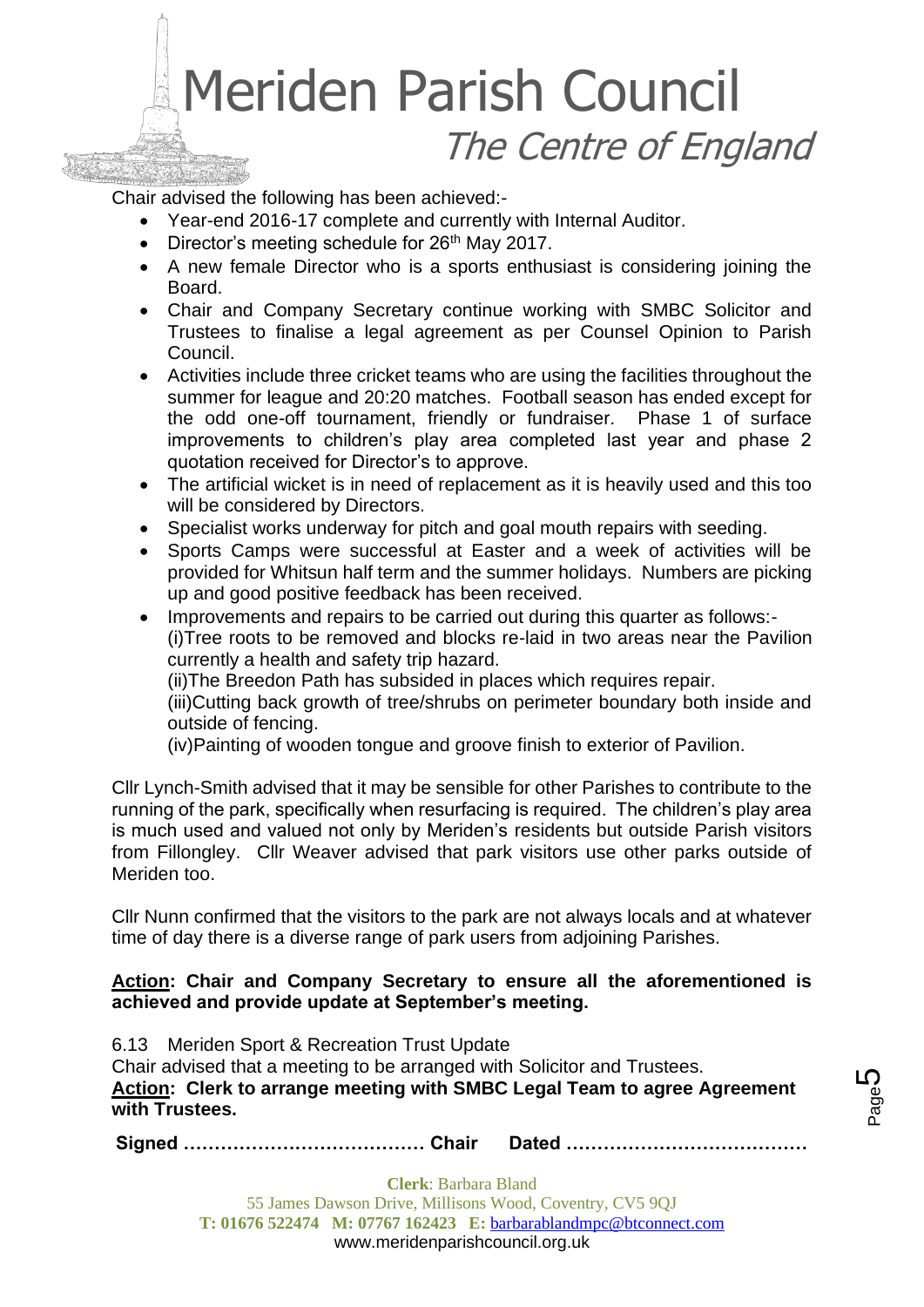

Chair advised the following has been achieved:-

- Year-end 2016-17 complete and currently with Internal Auditor.
- Director's meeting schedule for  $26<sup>th</sup>$  May 2017.
- A new female Director who is a sports enthusiast is considering joining the Board.
- Chair and Company Secretary continue working with SMBC Solicitor and Trustees to finalise a legal agreement as per Counsel Opinion to Parish Council.
- Activities include three cricket teams who are using the facilities throughout the summer for league and 20:20 matches. Football season has ended except for the odd one-off tournament, friendly or fundraiser. Phase 1 of surface improvements to children's play area completed last year and phase 2 quotation received for Director's to approve.
- The artificial wicket is in need of replacement as it is heavily used and this too will be considered by Directors.
- Specialist works underway for pitch and goal mouth repairs with seeding.
- Sports Camps were successful at Easter and a week of activities will be provided for Whitsun half term and the summer holidays. Numbers are picking up and good positive feedback has been received.
- Improvements and repairs to be carried out during this quarter as follows:- (i)Tree roots to be removed and blocks re-laid in two areas near the Pavilion currently a health and safety trip hazard.

(ii)The Breedon Path has subsided in places which requires repair.

(iii)Cutting back growth of tree/shrubs on perimeter boundary both inside and outside of fencing.

(iv)Painting of wooden tongue and groove finish to exterior of Pavilion.

Cllr Lynch-Smith advised that it may be sensible for other Parishes to contribute to the running of the park, specifically when resurfacing is required. The children's play area is much used and valued not only by Meriden's residents but outside Parish visitors from Fillongley. Cllr Weaver advised that park visitors use other parks outside of Meriden too.

Cllr Nunn confirmed that the visitors to the park are not always locals and at whatever time of day there is a diverse range of park users from adjoining Parishes.

## **Action: Chair and Company Secretary to ensure all the aforementioned is achieved and provide update at September's meeting.**

6.13 Meriden Sport & Recreation Trust Update Chair advised that a meeting to be arranged with Solicitor and Trustees. **Action: Clerk to arrange meeting with SMBC Legal Team to agree Agreement with Trustees.**

**Signed ………………………………… Chair Dated …………………………………**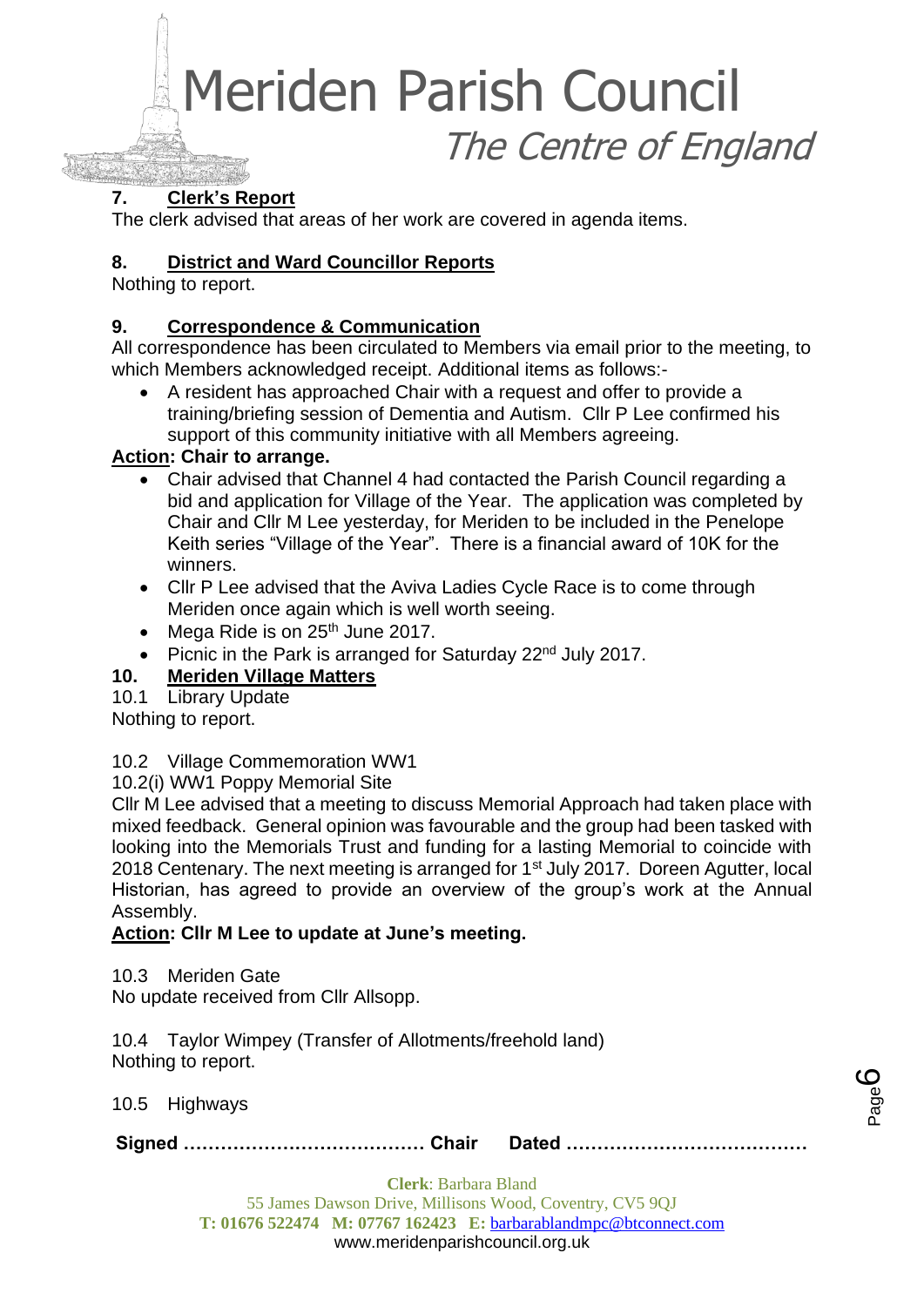## **7. Clerk's Report**

The clerk advised that areas of her work are covered in agenda items.

## **8. District and Ward Councillor Reports**

Nothing to report.

## **9. Correspondence & Communication**

All correspondence has been circulated to Members via email prior to the meeting, to which Members acknowledged receipt. Additional items as follows:-

• A resident has approached Chair with a request and offer to provide a training/briefing session of Dementia and Autism. Cllr P Lee confirmed his support of this community initiative with all Members agreeing.

## **Action: Chair to arrange.**

- Chair advised that Channel 4 had contacted the Parish Council regarding a bid and application for Village of the Year. The application was completed by Chair and Cllr M Lee yesterday, for Meriden to be included in the Penelope Keith series "Village of the Year". There is a financial award of 10K for the winners.
- Cllr P Lee advised that the Aviva Ladies Cycle Race is to come through Meriden once again which is well worth seeing.
- Mega Ride is on  $25<sup>th</sup>$  June 2017.
- Picnic in the Park is arranged for Saturday 22<sup>nd</sup> July 2017.

## **10. Meriden Village Matters**

10.1 Library Update

Nothing to report.

10.2 Village Commemoration WW1

10.2(i) WW1 Poppy Memorial Site

Cllr M Lee advised that a meeting to discuss Memorial Approach had taken place with mixed feedback. General opinion was favourable and the group had been tasked with looking into the Memorials Trust and funding for a lasting Memorial to coincide with 2018 Centenary. The next meeting is arranged for  $1<sup>st</sup>$  July 2017. Doreen Agutter, local Historian, has agreed to provide an overview of the group's work at the Annual Assembly.

## **Action: Cllr M Lee to update at June's meeting.**

10.3 Meriden Gate

No update received from Cllr Allsopp.

10.4 Taylor Wimpey (Transfer of Allotments/freehold land) Nothing to report.

10.5 Highways

**Signed ………………………………… Chair Dated …………………………………**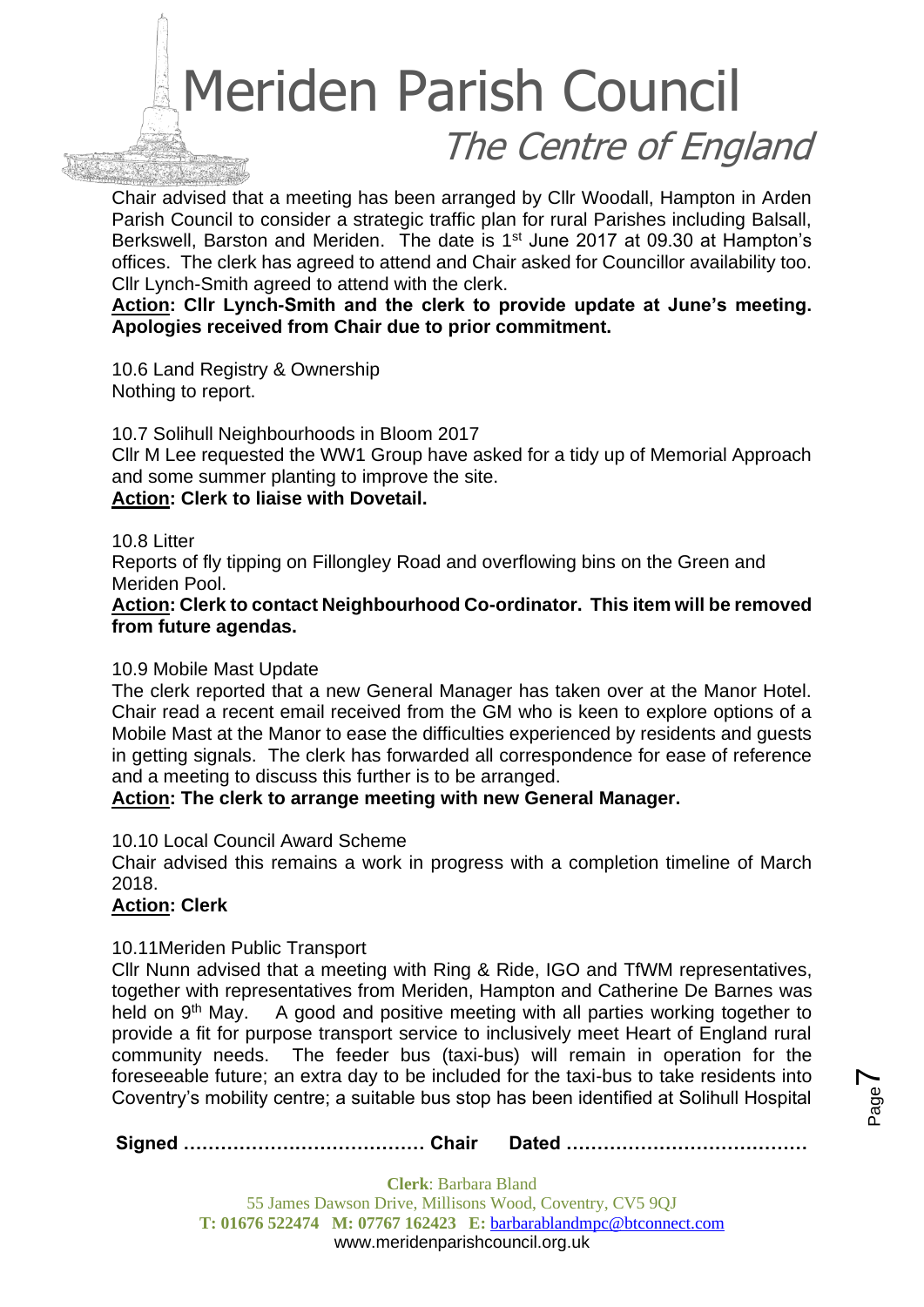

Chair advised that a meeting has been arranged by Cllr Woodall, Hampton in Arden Parish Council to consider a strategic traffic plan for rural Parishes including Balsall, Berkswell, Barston and Meriden. The date is 1<sup>st</sup> June 2017 at 09.30 at Hampton's offices. The clerk has agreed to attend and Chair asked for Councillor availability too. Cllr Lynch-Smith agreed to attend with the clerk.

**Action: Cllr Lynch-Smith and the clerk to provide update at June's meeting. Apologies received from Chair due to prior commitment.**

10.6 Land Registry & Ownership Nothing to report.

10.7 Solihull Neighbourhoods in Bloom 2017

Cllr M Lee requested the WW1 Group have asked for a tidy up of Memorial Approach and some summer planting to improve the site.

### **Action: Clerk to liaise with Dovetail.**

10.8 Litter

Reports of fly tipping on Fillongley Road and overflowing bins on the Green and Meriden Pool.

### **Action: Clerk to contact Neighbourhood Co-ordinator. This item will be removed from future agendas.**

### 10.9 Mobile Mast Update

The clerk reported that a new General Manager has taken over at the Manor Hotel. Chair read a recent email received from the GM who is keen to explore options of a Mobile Mast at the Manor to ease the difficulties experienced by residents and guests in getting signals. The clerk has forwarded all correspondence for ease of reference and a meeting to discuss this further is to be arranged.

### **Action: The clerk to arrange meeting with new General Manager.**

10.10 Local Council Award Scheme

Chair advised this remains a work in progress with a completion timeline of March 2018.

### **Action: Clerk**

#### 10.11Meriden Public Transport

Cllr Nunn advised that a meeting with Ring & Ride, IGO and TfWM representatives, together with representatives from Meriden, Hampton and Catherine De Barnes was held on 9<sup>th</sup> May. A good and positive meeting with all parties working together to provide a fit for purpose transport service to inclusively meet Heart of England rural community needs. The feeder bus (taxi-bus) will remain in operation for the foreseeable future; an extra day to be included for the taxi-bus to take residents into Coventry's mobility centre; a suitable bus stop has been identified at Solihull Hospital

**Signed ………………………………… Chair Dated …………………………………**

Page  $\blacktriangleright$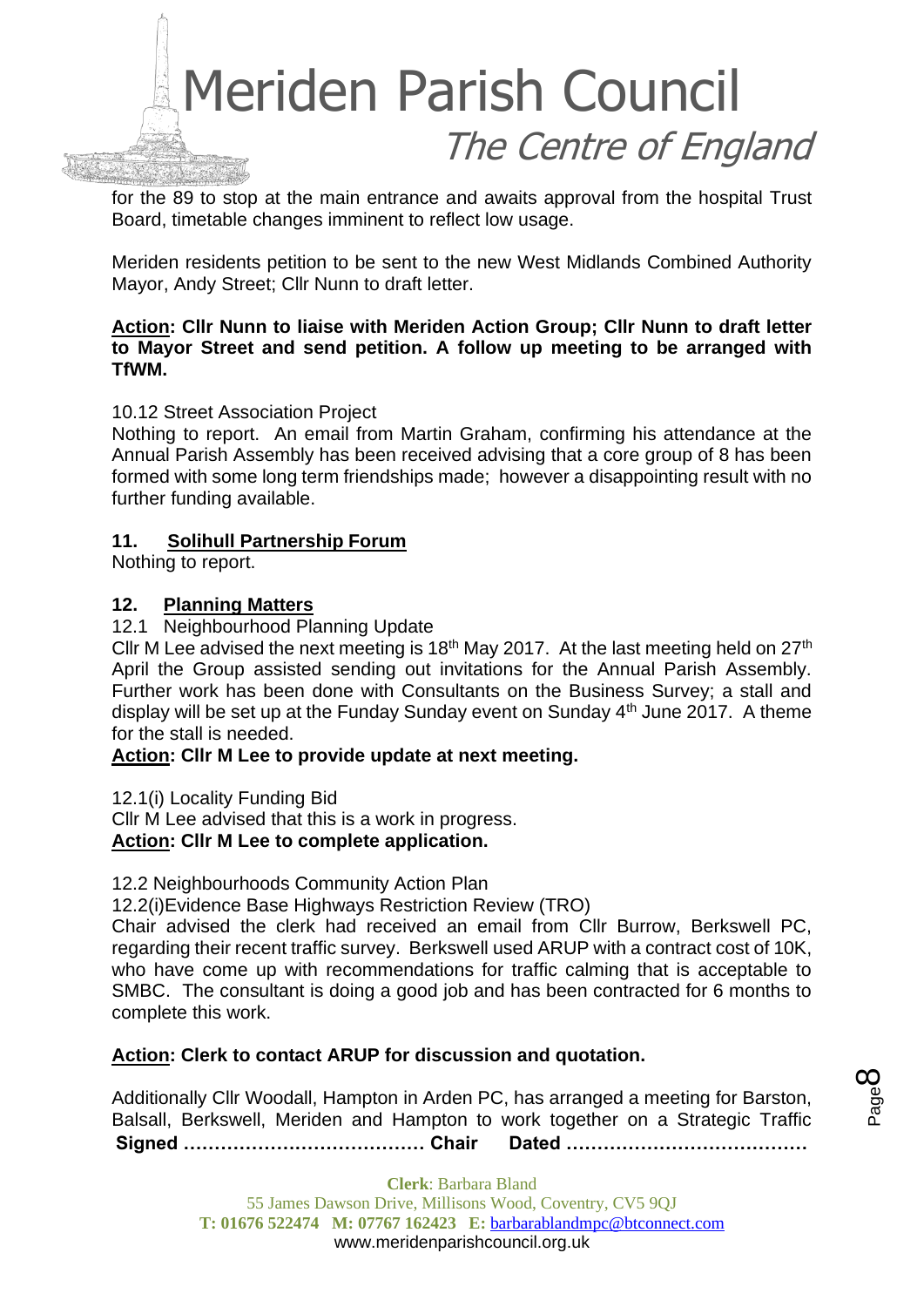

for the 89 to stop at the main entrance and awaits approval from the hospital Trust Board, timetable changes imminent to reflect low usage.

Meriden residents petition to be sent to the new West Midlands Combined Authority Mayor, Andy Street; Cllr Nunn to draft letter.

### **Action: Cllr Nunn to liaise with Meriden Action Group; Cllr Nunn to draft letter to Mayor Street and send petition. A follow up meeting to be arranged with TfWM.**

### 10.12 Street Association Project

Nothing to report. An email from Martin Graham, confirming his attendance at the Annual Parish Assembly has been received advising that a core group of 8 has been formed with some long term friendships made; however a disappointing result with no further funding available.

## **11. Solihull Partnership Forum**

Nothing to report.

## **12. Planning Matters**

12.1 Neighbourhood Planning Update

Cllr M Lee advised the next meeting is 18<sup>th</sup> May 2017. At the last meeting held on 27<sup>th</sup> April the Group assisted sending out invitations for the Annual Parish Assembly. Further work has been done with Consultants on the Business Survey; a stall and display will be set up at the Funday Sunday event on Sunday 4th June 2017. A theme for the stall is needed.

### **Action: Cllr M Lee to provide update at next meeting.**

12.1(i) Locality Funding Bid

Cllr M Lee advised that this is a work in progress. **Action: Cllr M Lee to complete application.**

### 12.2 Neighbourhoods Community Action Plan

12.2(i)Evidence Base Highways Restriction Review (TRO)

Chair advised the clerk had received an email from Cllr Burrow, Berkswell PC, regarding their recent traffic survey. Berkswell used ARUP with a contract cost of 10K, who have come up with recommendations for traffic calming that is acceptable to SMBC. The consultant is doing a good job and has been contracted for 6 months to complete this work.

### **Action: Clerk to contact ARUP for discussion and quotation.**

**Signed ………………………………… Chair Dated …………………………………** Additionally Cllr Woodall, Hampton in Arden PC, has arranged a meeting for Barston, Balsall, Berkswell, Meriden and Hampton to work together on a Strategic Traffic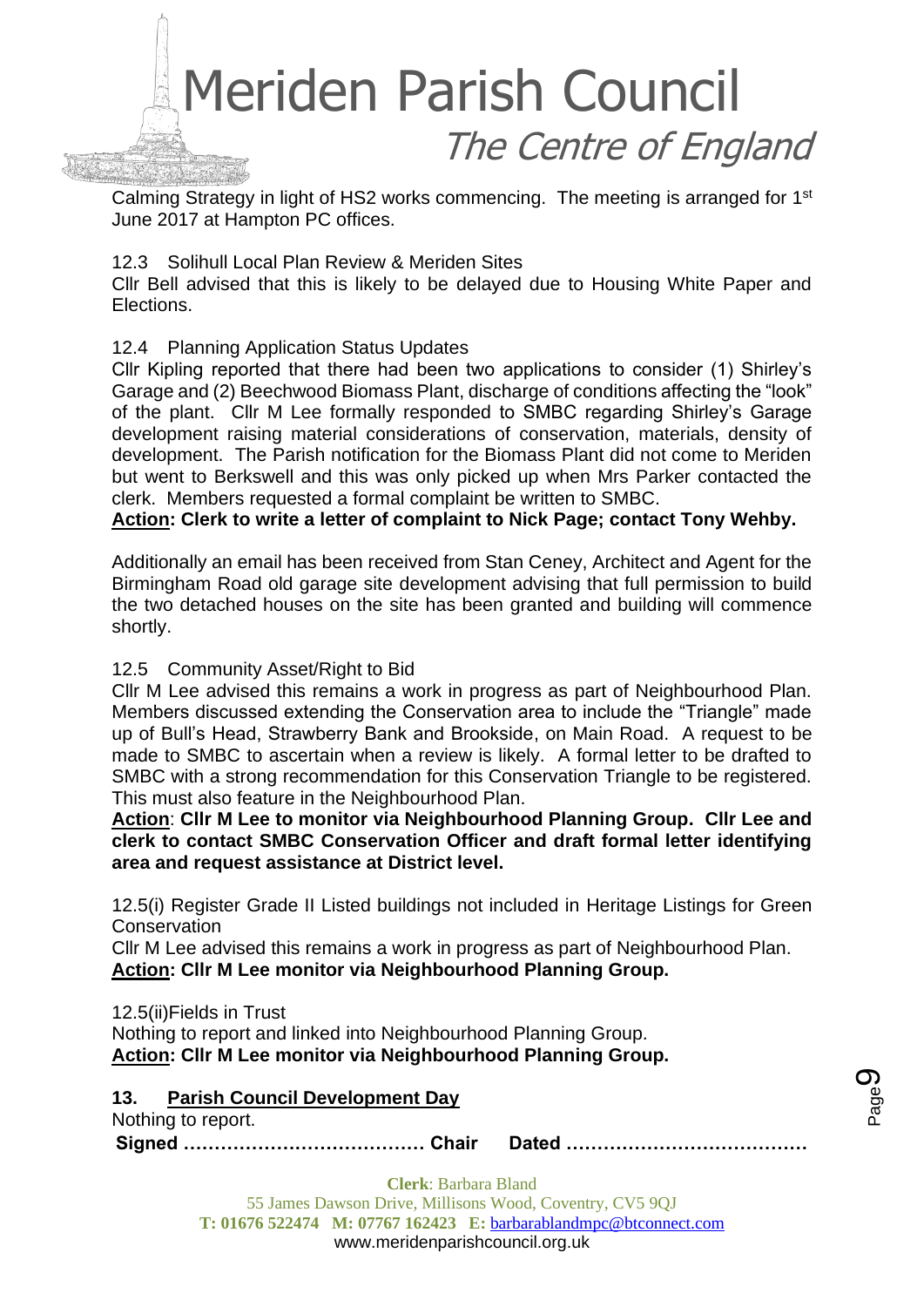

Calming Strategy in light of HS2 works commencing. The meeting is arranged for 1<sup>st</sup> June 2017 at Hampton PC offices.

### 12.3 Solihull Local Plan Review & Meriden Sites

Cllr Bell advised that this is likely to be delayed due to Housing White Paper and Elections.

## 12.4 Planning Application Status Updates

Cllr Kipling reported that there had been two applications to consider (1) Shirley's Garage and (2) Beechwood Biomass Plant, discharge of conditions affecting the "look" of the plant. Cllr M Lee formally responded to SMBC regarding Shirley's Garage development raising material considerations of conservation, materials, density of development. The Parish notification for the Biomass Plant did not come to Meriden but went to Berkswell and this was only picked up when Mrs Parker contacted the clerk. Members requested a formal complaint be written to SMBC.

**Action: Clerk to write a letter of complaint to Nick Page; contact Tony Wehby.**

Additionally an email has been received from Stan Ceney, Architect and Agent for the Birmingham Road old garage site development advising that full permission to build the two detached houses on the site has been granted and building will commence shortly.

## 12.5 Community Asset/Right to Bid

Cllr M Lee advised this remains a work in progress as part of Neighbourhood Plan. Members discussed extending the Conservation area to include the "Triangle" made up of Bull's Head, Strawberry Bank and Brookside, on Main Road. A request to be made to SMBC to ascertain when a review is likely. A formal letter to be drafted to SMBC with a strong recommendation for this Conservation Triangle to be registered. This must also feature in the Neighbourhood Plan.

**Action**: **Cllr M Lee to monitor via Neighbourhood Planning Group. Cllr Lee and clerk to contact SMBC Conservation Officer and draft formal letter identifying area and request assistance at District level.**

12.5(i) Register Grade II Listed buildings not included in Heritage Listings for Green **Conservation** 

Cllr M Lee advised this remains a work in progress as part of Neighbourhood Plan. **Action: Cllr M Lee monitor via Neighbourhood Planning Group.**

12.5(ii)Fields in Trust Nothing to report and linked into Neighbourhood Planning Group. **Action: Cllr M Lee monitor via Neighbourhood Planning Group.**

**13. Parish Council Development Day**

Nothing to report.

**Signed ………………………………… Chair Dated …………………………………**